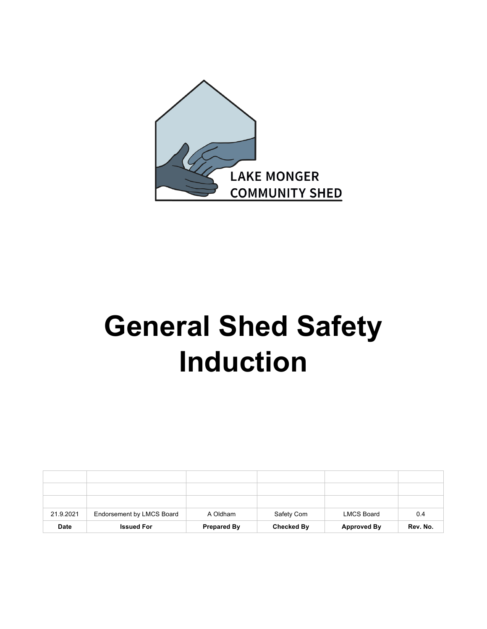

# **General Shed Safety Induction**

| 21.9.2021   | Endorsement by LMCS Board | A Oldham           | Safety Com        | <b>LMCS Board</b>  | 0.4      |
|-------------|---------------------------|--------------------|-------------------|--------------------|----------|
| <b>Date</b> | <b>Issued For</b>         | <b>Prepared By</b> | <b>Checked By</b> | <b>Approved By</b> | Rev. No. |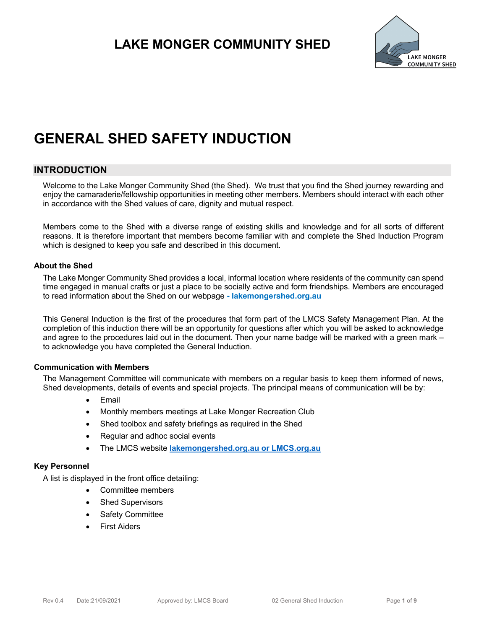

# **GENERAL SHED SAFETY INDUCTION**

### **INTRODUCTION**

Welcome to the Lake Monger Community Shed (the Shed). We trust that you find the Shed journey rewarding and enjoy the camaraderie/fellowship opportunities in meeting other members. Members should interact with each other in accordance with the Shed values of care, dignity and mutual respect.

Members come to the Shed with a diverse range of existing skills and knowledge and for all sorts of different reasons. It is therefore important that members become familiar with and complete the Shed Induction Program which is designed to keep you safe and described in this document.

#### **About the Shed**

The Lake Monger Community Shed provides a local, informal location where residents of the community can spend time engaged in manual crafts or just a place to be socially active and form friendships. Members are encouraged to read information about the Shed on our webpage **- lakemongershed.org.au**

This General Induction is the first of the procedures that form part of the LMCS Safety Management Plan. At the completion of this induction there will be an opportunity for questions after which you will be asked to acknowledge and agree to the procedures laid out in the document. Then your name badge will be marked with a green mark – to acknowledge you have completed the General Induction.

### **Communication with Members**

The Management Committee will communicate with members on a regular basis to keep them informed of news, Shed developments, details of events and special projects. The principal means of communication will be by:

- Email
- Monthly members meetings at Lake Monger Recreation Club
- Shed toolbox and safety briefings as required in the Shed
- Regular and adhoc social events
- The LMCS website **lakemongershed.org.au or LMCS.org.au**

#### **Key Personnel**

A list is displayed in the front office detailing:

- Committee members
- Shed Supervisors
- **Safety Committee**
- **First Aiders**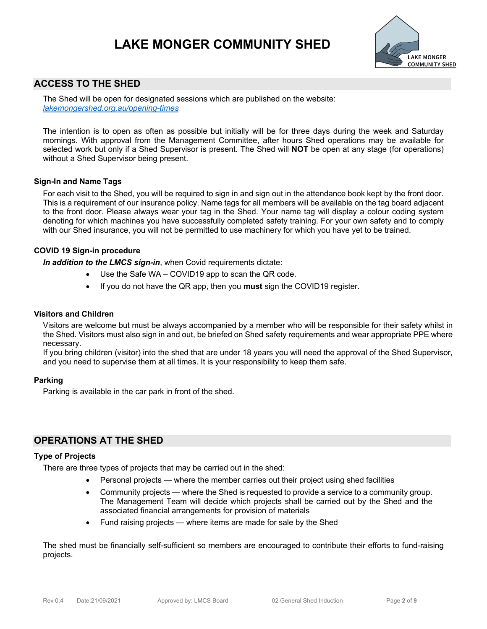

### **ACCESS TO THE SHED**

The Shed will be open for designated sessions which are published on the website: *lakemongershed.org.au/opening-times*

The intention is to open as often as possible but initially will be for three days during the week and Saturday mornings. With approval from the Management Committee, after hours Shed operations may be available for selected work but only if a Shed Supervisor is present. The Shed will **NOT** be open at any stage (for operations) without a Shed Supervisor being present.

#### **Sign-In and Name Tags**

For each visit to the Shed, you will be required to sign in and sign out in the attendance book kept by the front door. This is a requirement of our insurance policy. Name tags for all members will be available on the tag board adjacent to the front door. Please always wear your tag in the Shed. Your name tag will display a colour coding system denoting for which machines you have successfully completed safety training. For your own safety and to comply with our Shed insurance, you will not be permitted to use machinery for which you have yet to be trained.

#### **COVID 19 Sign-in procedure**

*In addition to the LMCS sign-in*, when Covid requirements dictate:

- Use the Safe WA COVID19 app to scan the QR code.
- If you do not have the QR app, then you **must** sign the COVID19 register.

#### **Visitors and Children**

Visitors are welcome but must be always accompanied by a member who will be responsible for their safety whilst in the Shed. Visitors must also sign in and out, be briefed on Shed safety requirements and wear appropriate PPE where necessary.

If you bring children (visitor) into the shed that are under 18 years you will need the approval of the Shed Supervisor, and you need to supervise them at all times. It is your responsibility to keep them safe.

#### **Parking**

Parking is available in the car park in front of the shed.

### **OPERATIONS AT THE SHED**

#### **Type of Projects**

There are three types of projects that may be carried out in the shed:

- Personal projects where the member carries out their project using shed facilities
- Community projects where the Shed is requested to provide a service to a community group. The Management Team will decide which projects shall be carried out by the Shed and the associated financial arrangements for provision of materials
- Fund raising projects where items are made for sale by the Shed

The shed must be financially self-sufficient so members are encouraged to contribute their efforts to fund-raising projects.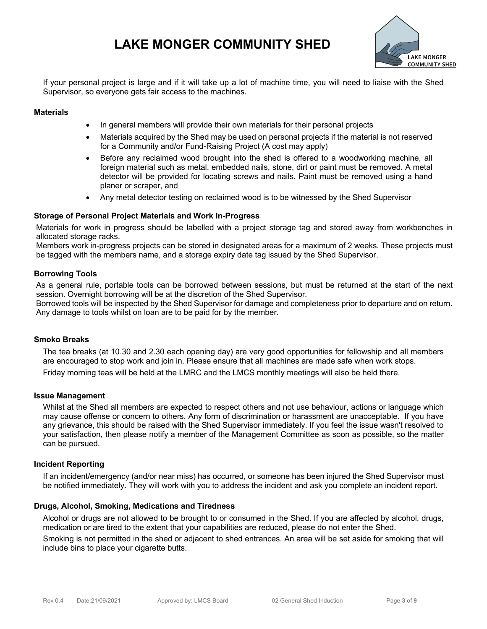

If your personal project is large and if it will take up a lot of machine time, you will need to liaise with the Shed Supervisor, so everyone gets fair access to the machines.

#### **Materials**

- In general members will provide their own materials for their personal projects
- Materials acquired by the Shed may be used on personal projects if the material is not reserved for a Community and/or Fund-Raising Project (A cost may apply)
- Before any reclaimed wood brought into the shed is offered to a woodworking machine, all foreign material such as metal, embedded nails, stone, dirt or paint must be removed. A metal detector will be provided for locating screws and nails. Paint must be removed using a hand planer or scraper, and
- Any metal detector testing on reclaimed wood is to be witnessed by the Shed Supervisor

#### **Storage of Personal Project Materials and Work In-Progress**

Materials for work in progress should be labelled with a project storage tag and stored away from workbenches in allocated storage racks.

Members work in-progress projects can be stored in designated areas for a maximum of 2 weeks. These projects must be tagged with the members name, and a storage expiry date tag issued by the Shed Supervisor.

#### **Borrowing Tools**

As a general rule, portable tools can be borrowed between sessions, but must be returned at the start of the next session. Overnight borrowing will be at the discretion of the Shed Supervisor.

Borrowed tools will be inspected by the Shed Supervisor for damage and completeness prior to departure and on return. Any damage to tools whilst on loan are to be paid for by the member.

#### **Smoko Breaks**

The tea breaks (at 10.30 and 2.30 each opening day) are very good opportunities for fellowship and all members are encouraged to stop work and join in. Please ensure that all machines are made safe when work stops. Friday morning teas will be held at the LMRC and the LMCS monthly meetings will also be held there.

#### **Issue Management**

Whilst at the Shed all members are expected to respect others and not use behaviour, actions or language which may cause offense or concern to others. Any form of discrimination or harassment are unacceptable. If you have any grievance, this should be raised with the Shed Supervisor immediately. If you feel the issue wasn't resolved to your satisfaction, then please notify a member of the Management Committee as soon as possible, so the matter can be pursued.

#### **Incident Reporting**

If an incident/emergency (and/or near miss) has occurred, or someone has been injured the Shed Supervisor must be notified immediately. They will work with you to address the incident and ask you complete an incident report.

#### **Drugs, Alcohol, Smoking, Medications and Tiredness**

Alcohol or drugs are not allowed to be brought to or consumed in the Shed. If you are affected by alcohol, drugs, medication or are tired to the extent that your capabilities are reduced, please do not enter the Shed.

Smoking is not permitted in the shed or adjacent to shed entrances. An area will be set aside for smoking that will include bins to place your cigarette butts.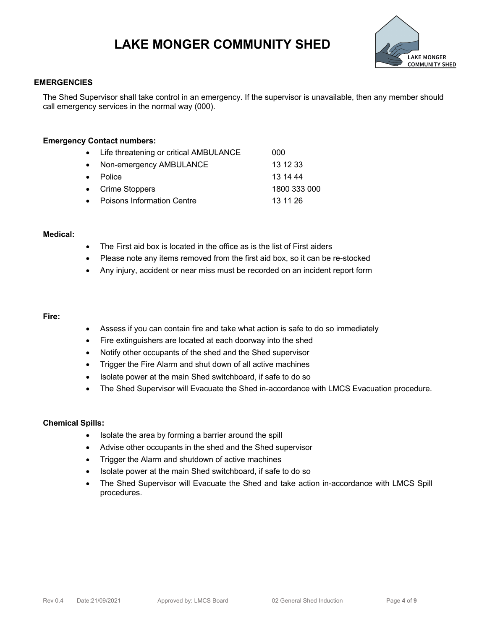

#### **EMERGENCIES**

The Shed Supervisor shall take control in an emergency. If the supervisor is unavailable, then any member should call emergency services in the normal way (000).

#### **Emergency Contact numbers:**

| • Life threatening or critical AMBULANCE | 000          |
|------------------------------------------|--------------|
| • Non-emergency AMBULANCE                | 13 12 33     |
| • Police                                 | 13 14 44     |
| • Crime Stoppers                         | 1800 333 000 |
| • Poisons Information Centre             | 13 11 26     |

#### **Medical:**

- The First aid box is located in the office as is the list of First aiders
- Please note any items removed from the first aid box, so it can be re-stocked
- Any injury, accident or near miss must be recorded on an incident report form

#### **Fire:**

- Assess if you can contain fire and take what action is safe to do so immediately
- Fire extinguishers are located at each doorway into the shed
- Notify other occupants of the shed and the Shed supervisor
- Trigger the Fire Alarm and shut down of all active machines
- Isolate power at the main Shed switchboard, if safe to do so
- The Shed Supervisor will Evacuate the Shed in-accordance with LMCS Evacuation procedure.

#### **Chemical Spills:**

- Isolate the area by forming a barrier around the spill
- Advise other occupants in the shed and the Shed supervisor
- Trigger the Alarm and shutdown of active machines
- Isolate power at the main Shed switchboard, if safe to do so
- The Shed Supervisor will Evacuate the Shed and take action in-accordance with LMCS Spill procedures.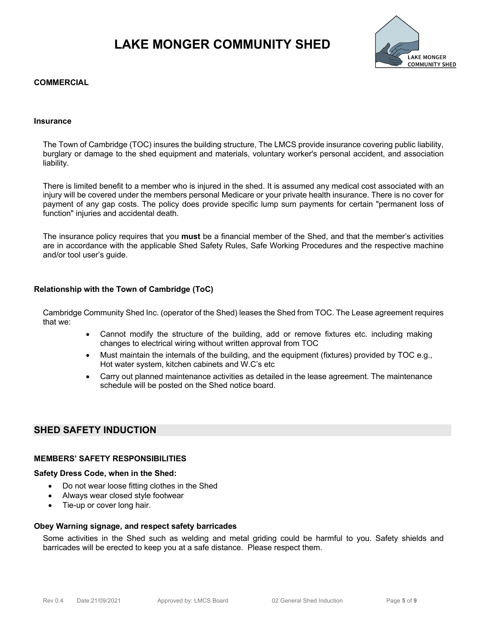

#### **COMMERCIAL**

#### **Insurance**

The Town of Cambridge (TOC) insures the building structure, The LMCS provide insurance covering public liability, burglary or damage to the shed equipment and materials, voluntary worker's personal accident, and association liability.

There is limited benefit to a member who is injured in the shed. It is assumed any medical cost associated with an injury will be covered under the members personal Medicare or your private health insurance. There is no cover for payment of any gap costs. The policy does provide specific lump sum payments for certain "permanent loss of function" injuries and accidental death.

The insurance policy requires that you **must** be a financial member of the Shed, and that the member's activities are in accordance with the applicable Shed Safety Rules, Safe Working Procedures and the respective machine and/or tool user's guide.

#### **Relationship with the Town of Cambridge (ToC)**

Cambridge Community Shed Inc. (operator of the Shed) leases the Shed from TOC. The Lease agreement requires that we:

- Cannot modify the structure of the building, add or remove fixtures etc. including making changes to electrical wiring without written approval from TOC
- Must maintain the internals of the building, and the equipment (fixtures) provided by TOC e.g., Hot water system, kitchen cabinets and W.C's etc
- Carry out planned maintenance activities as detailed in the lease agreement. The maintenance schedule will be posted on the Shed notice board.

### **SHED SAFETY INDUCTION**

#### **MEMBERS' SAFETY RESPONSIBILITIES**

#### **Safety Dress Code, when in the Shed:**

- Do not wear loose fitting clothes in the Shed
- Always wear closed style footwear
- Tie-up or cover long hair.

#### **Obey Warning signage, and respect safety barricades**

Some activities in the Shed such as welding and metal griding could be harmful to you. Safety shields and barricades will be erected to keep you at a safe distance. Please respect them.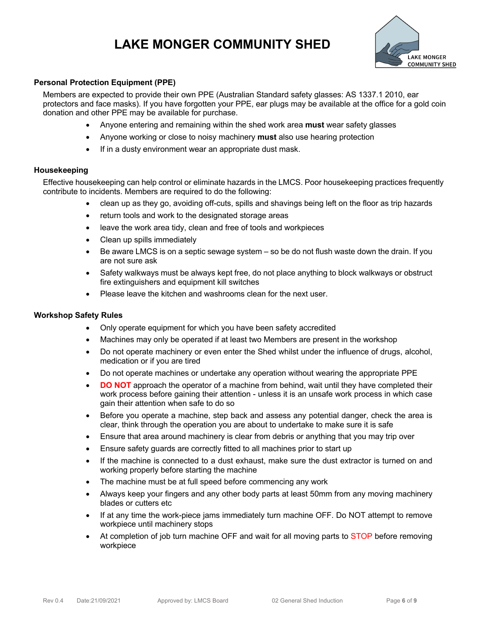

#### **Personal Protection Equipment (PPE)**

Members are expected to provide their own PPE (Australian Standard safety glasses: AS 1337.1 2010, ear protectors and face masks). If you have forgotten your PPE, ear plugs may be available at the office for a gold coin donation and other PPE may be available for purchase.

- Anyone entering and remaining within the shed work area **must** wear safety glasses
- Anyone working or close to noisy machinery **must** also use hearing protection
- If in a dusty environment wear an appropriate dust mask.

#### **Housekeeping**

Effective housekeeping can help control or eliminate hazards in the LMCS. Poor housekeeping practices frequently contribute to incidents. Members are required to do the following:

- clean up as they go, avoiding off-cuts, spills and shavings being left on the floor as trip hazards
- return tools and work to the designated storage areas
- leave the work area tidy, clean and free of tools and workpieces
- Clean up spills immediately
- Be aware LMCS is on a septic sewage system so be do not flush waste down the drain. If you are not sure ask
- Safety walkways must be always kept free, do not place anything to block walkways or obstruct fire extinguishers and equipment kill switches
- Please leave the kitchen and washrooms clean for the next user.

#### **Workshop Safety Rules**

- Only operate equipment for which you have been safety accredited
- Machines may only be operated if at least two Members are present in the workshop
- Do not operate machinery or even enter the Shed whilst under the influence of drugs, alcohol, medication or if you are tired
- Do not operate machines or undertake any operation without wearing the appropriate PPE
- **DO NOT** approach the operator of a machine from behind, wait until they have completed their work process before gaining their attention - unless it is an unsafe work process in which case gain their attention when safe to do so
- Before you operate a machine, step back and assess any potential danger, check the area is clear, think through the operation you are about to undertake to make sure it is safe
- Ensure that area around machinery is clear from debris or anything that you may trip over
- Ensure safety guards are correctly fitted to all machines prior to start up
- If the machine is connected to a dust exhaust, make sure the dust extractor is turned on and working properly before starting the machine
- The machine must be at full speed before commencing any work
- Always keep your fingers and any other body parts at least 50mm from any moving machinery blades or cutters etc
- If at any time the work-piece jams immediately turn machine OFF. Do NOT attempt to remove workpiece until machinery stops
- At completion of job turn machine OFF and wait for all moving parts to STOP before removing workpiece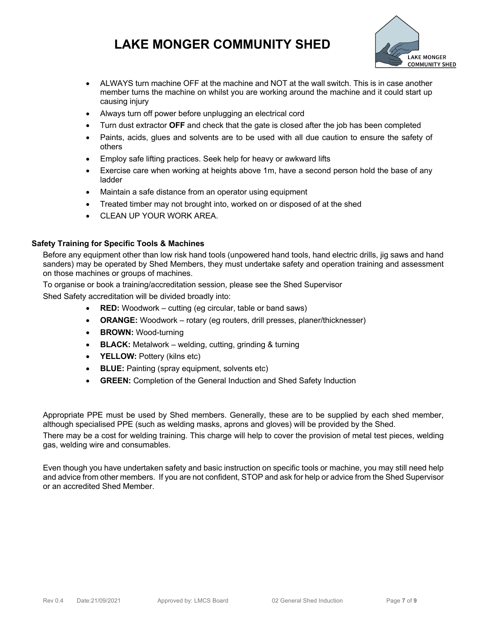

- ALWAYS turn machine OFF at the machine and NOT at the wall switch. This is in case another member turns the machine on whilst you are working around the machine and it could start up causing injury
- Always turn off power before unplugging an electrical cord
- Turn dust extractor **OFF** and check that the gate is closed after the job has been completed
- Paints, acids, glues and solvents are to be used with all due caution to ensure the safety of others
- Employ safe lifting practices. Seek help for heavy or awkward lifts
- Exercise care when working at heights above 1m, have a second person hold the base of any ladder
- Maintain a safe distance from an operator using equipment
- Treated timber may not brought into, worked on or disposed of at the shed
- CLEAN UP YOUR WORK AREA.

### **Safety Training for Specific Tools & Machines**

Before any equipment other than low risk hand tools (unpowered hand tools, hand electric drills, jig saws and hand sanders) may be operated by Shed Members, they must undertake safety and operation training and assessment on those machines or groups of machines.

To organise or book a training/accreditation session, please see the Shed Supervisor

Shed Safety accreditation will be divided broadly into:

- **RED:** Woodwork cutting (eg circular, table or band saws)
- **ORANGE:** Woodwork rotary (eg routers, drill presses, planer/thicknesser)
- **BROWN:** Wood-turning
- **BLACK:** Metalwork welding, cutting, grinding & turning
- **YELLOW:** Pottery (kilns etc)
- **BLUE:** Painting (spray equipment, solvents etc)
- **GREEN:** Completion of the General Induction and Shed Safety Induction

Appropriate PPE must be used by Shed members. Generally, these are to be supplied by each shed member, although specialised PPE (such as welding masks, aprons and gloves) will be provided by the Shed.

There may be a cost for welding training. This charge will help to cover the provision of metal test pieces, welding gas, welding wire and consumables.

Even though you have undertaken safety and basic instruction on specific tools or machine, you may still need help and advice from other members. If you are not confident, STOP and ask for help or advice from the Shed Supervisor or an accredited Shed Member.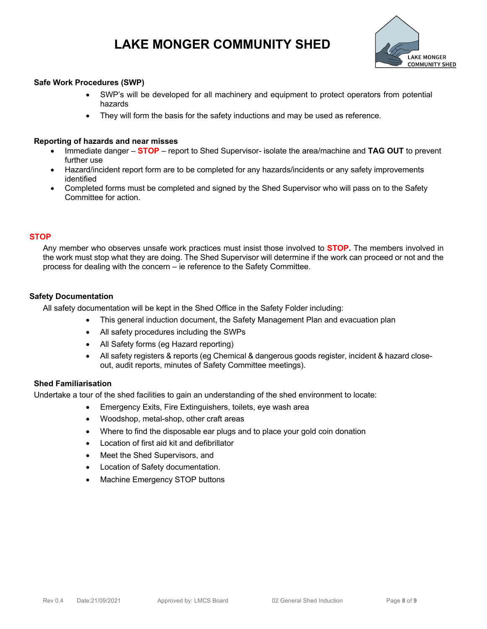

#### **Safe Work Procedures (SWP)**

- SWP's will be developed for all machinery and equipment to protect operators from potential hazards
- They will form the basis for the safety inductions and may be used as reference.

#### **Reporting of hazards and near misses**

- Immediate danger **STOP** report to Shed Supervisor- isolate the area/machine and **TAG OUT** to prevent further use
- Hazard/incident report form are to be completed for any hazards/incidents or any safety improvements identified
- Completed forms must be completed and signed by the Shed Supervisor who will pass on to the Safety Committee for action.

#### **STOP**

Any member who observes unsafe work practices must insist those involved to **STOP.** The members involved in the work must stop what they are doing. The Shed Supervisor will determine if the work can proceed or not and the process for dealing with the concern – ie reference to the Safety Committee.

#### **Safety Documentation**

All safety documentation will be kept in the Shed Office in the Safety Folder including:

- This general induction document, the Safety Management Plan and evacuation plan
- All safety procedures including the SWPs
- All Safety forms (eg Hazard reporting)
- All safety registers & reports (eg Chemical & dangerous goods register, incident & hazard closeout, audit reports, minutes of Safety Committee meetings).

#### **Shed Familiarisation**

Undertake a tour of the shed facilities to gain an understanding of the shed environment to locate:

- Emergency Exits, Fire Extinguishers, toilets, eye wash area
- Woodshop, metal-shop, other craft areas
- Where to find the disposable ear plugs and to place your gold coin donation
- Location of first aid kit and defibrillator
- Meet the Shed Supervisors, and
- Location of Safety documentation.
- Machine Emergency STOP buttons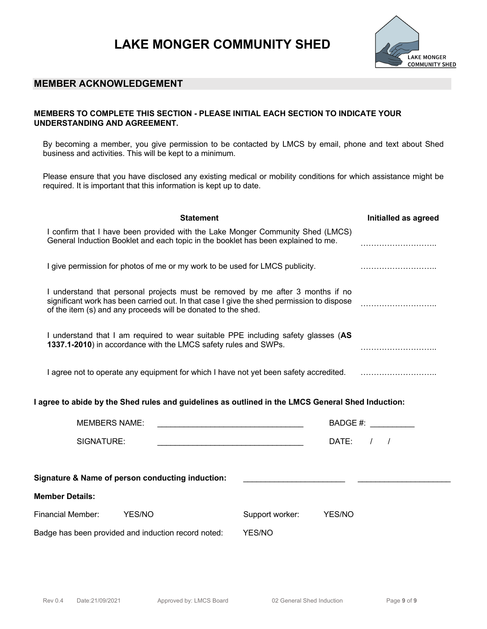

### **MEMBER ACKNOWLEDGEMENT**

### **MEMBERS TO COMPLETE THIS SECTION - PLEASE INITIAL EACH SECTION TO INDICATE YOUR UNDERSTANDING AND AGREEMENT.**

By becoming a member, you give permission to be contacted by LMCS by email, phone and text about Shed business and activities. This will be kept to a minimum.

Please ensure that you have disclosed any existing medical or mobility conditions for which assistance might be required. It is important that this information is kept up to date.

| <b>Statement</b>                                                                                                                                                                                                                             | Initialled as agreed |
|----------------------------------------------------------------------------------------------------------------------------------------------------------------------------------------------------------------------------------------------|----------------------|
| I confirm that I have been provided with the Lake Monger Community Shed (LMCS)<br>General Induction Booklet and each topic in the booklet has been explained to me.                                                                          |                      |
| I give permission for photos of me or my work to be used for LMCS publicity.                                                                                                                                                                 |                      |
| I understand that personal projects must be removed by me after 3 months if no<br>significant work has been carried out. In that case I give the shed permission to dispose<br>of the item (s) and any proceeds will be donated to the shed. |                      |
| I understand that I am required to wear suitable PPE including safety glasses (AS<br>1337.1-2010) in accordance with the LMCS safety rules and SWPs.                                                                                         |                      |
| I agree not to operate any equipment for which I have not yet been safety accredited.                                                                                                                                                        |                      |

#### **I agree to abide by the Shed rules and guidelines as outlined in the LMCS General Shed Induction:**

| <b>MEMBERS NAME:</b>                                |                                                  |        | BADGE #: |                 |        |  |  |  |
|-----------------------------------------------------|--------------------------------------------------|--------|----------|-----------------|--------|--|--|--|
|                                                     | SIGNATURE:                                       |        |          |                 | DATE:  |  |  |  |
|                                                     | Signature & Name of person conducting induction: |        |          |                 |        |  |  |  |
| <b>Member Details:</b>                              |                                                  |        |          |                 |        |  |  |  |
| <b>Financial Member:</b>                            |                                                  | YES/NO |          | Support worker: | YES/NO |  |  |  |
| Badge has been provided and induction record noted: |                                                  |        | YES/NO   |                 |        |  |  |  |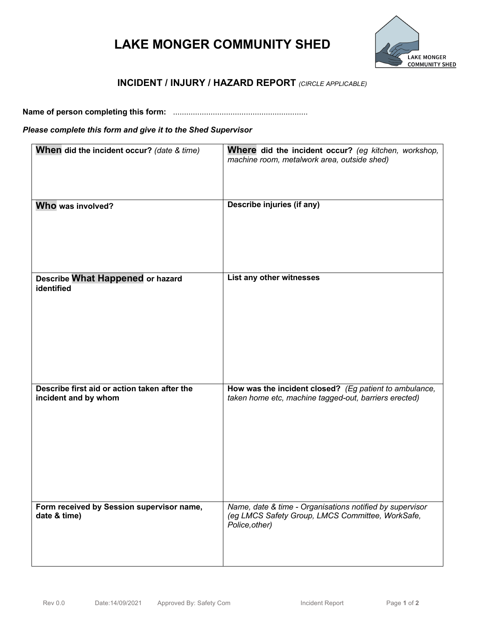

### **INCIDENT / INJURY / HAZARD REPORT** *(CIRCLE APPLICABLE)*

**Name of person completing this form:** .............................................................

### *Please complete this form and give it to the Shed Supervisor*

| When did the incident occur? (date & time)                           | Where did the incident occur? (eg kitchen, workshop,<br>machine room, metalwork area, outside shed)                            |
|----------------------------------------------------------------------|--------------------------------------------------------------------------------------------------------------------------------|
| Who was involved?                                                    | Describe injuries (if any)                                                                                                     |
| Describe What Happened or hazard<br>identified                       | List any other witnesses                                                                                                       |
| Describe first aid or action taken after the<br>incident and by whom | How was the incident closed? (Eg patient to ambulance,<br>taken home etc, machine tagged-out, barriers erected)                |
| Form received by Session supervisor name,<br>date & time)            | Name, date & time - Organisations notified by supervisor<br>(eg LMCS Safety Group, LMCS Committee, WorkSafe,<br>Police, other) |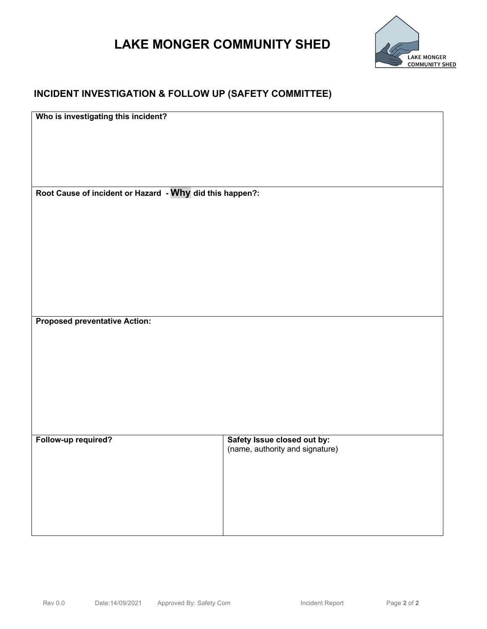

## **INCIDENT INVESTIGATION & FOLLOW UP (SAFETY COMMITTEE)**

**Who is investigating this incident?**

**Root Cause of incident or Hazard - Why did this happen?:**

**Proposed preventative Action:**

**Follow-up required? Safety Issue closed out by:**  (name, authority and signature)